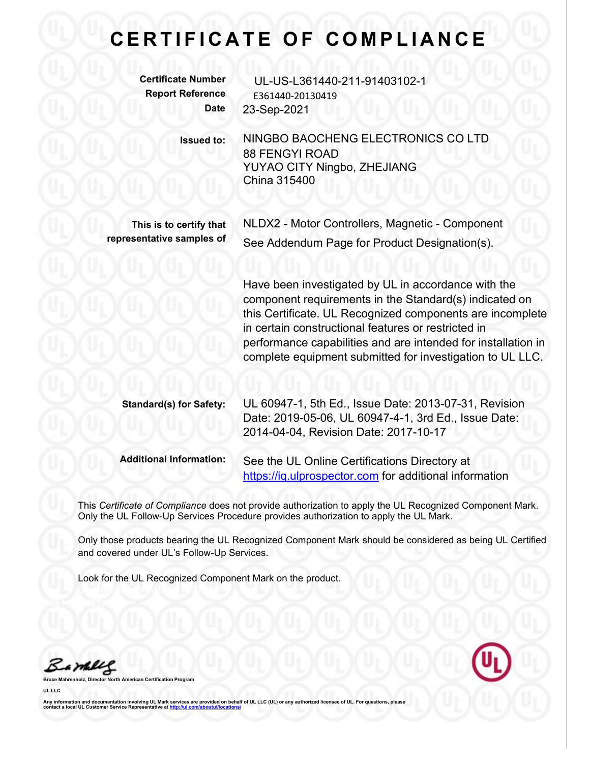## $E$  **CERTIFICATE OF COMPLIANCE**

**Certificate Number** UL-US-L361440-211-91403102-1 **Report Reference** E361440-20130419 **Date** 23-Sep-2021 **Issued to:** NINGBO BAOCHENG ELECTRONICS CO LTD 88 FENGYI ROAD YUYAO CITY Ningbo, ZHEJIANG China 315400 **This is to certify that representative samples of** NLDX2 - Motor Controllers, Magnetic - Component See Addendum Page for Product Designation(s). Have been investigated by UL in accordance with the component requirements in the Standard(s) indicated on this Certificate. UL Recognized components are incomplete in certain constructional features or restricted in performance capabilities and are intended for installation in complete equipment submitted for investigation to UL LLC.

**Standard(s) for Safety:** UL 60947-1, 5th Ed., Issue Date: 2013-07-31, Revision Date: 2019-05-06, UL 60947-4-1, 3rd Ed., Issue Date: 2014-04-04, Revision Date: 2017-10-17

**Additional Information:** See the UL Online Certifications Directory at <https://iq.ulprospector.com> for additional information

This *Certificate of Compliance* does not provide authorization to apply the UL Recognized Component Mark. Only the UL Follow-Up Services Procedure provides authorization to apply the UL Mark.

Only those products bearing the UL Recognized Component Mark should be considered as being UL Certified and covered under UL's Follow-Up Services.

Look for the UL Recognized Component Mark on the product.

Barney

**Bruce Mahrenholz, Director North American Certification Program**

**UL LLC**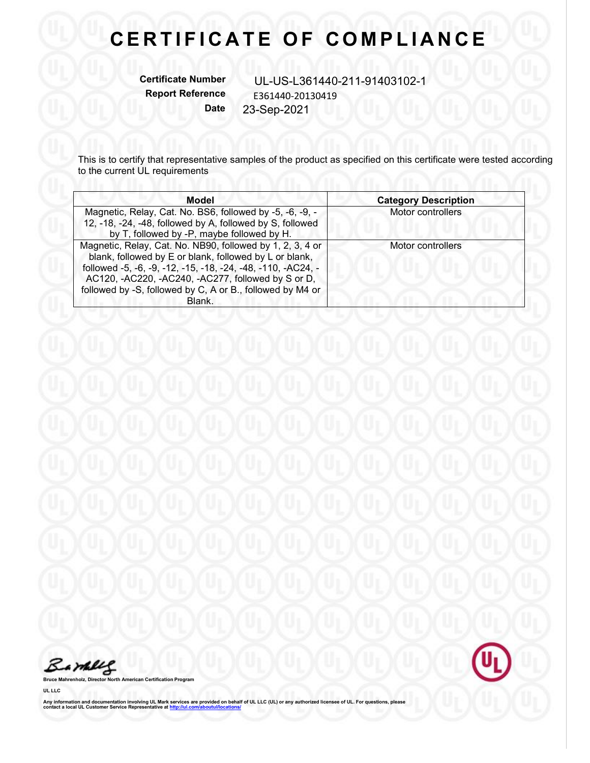## **C E R T I F I C A T E O F C O M P L I A N C E**

**Certificate Number** UL-US-L361440-211-91403102-1<br>Report Reference F361440-20130419 **Report Reference** E361440-20130419 **Date** 23-Sep-2021

This is to certify that representative samples of the product as specified on this certificate were tested according to the current UL requirements and the current UL requirements

| <b>Model</b>                                                                                                                                                                                                                                                                                                     | <b>Category Description</b> |
|------------------------------------------------------------------------------------------------------------------------------------------------------------------------------------------------------------------------------------------------------------------------------------------------------------------|-----------------------------|
| Magnetic, Relay, Cat. No. BS6, followed by -5, -6, -9, -<br>12, -18, -24, -48, followed by A, followed by S, followed<br>by T, followed by -P, maybe followed by H.                                                                                                                                              | Motor controllers           |
| Magnetic, Relay, Cat. No. NB90, followed by 1, 2, 3, 4 or<br>blank, followed by E or blank, followed by L or blank,<br>followed -5, -6, -9, -12, -15, -18, -24, -48, -110, -AC24, -<br>AC120, -AC220, -AC240, -AC277, followed by S or D,<br>followed by -S, followed by C, A or B., followed by M4 or<br>Blank. | Motor controllers           |

Barbles



**Bruce Mahrenholz, Director North American Certification Program**

**UL LLC**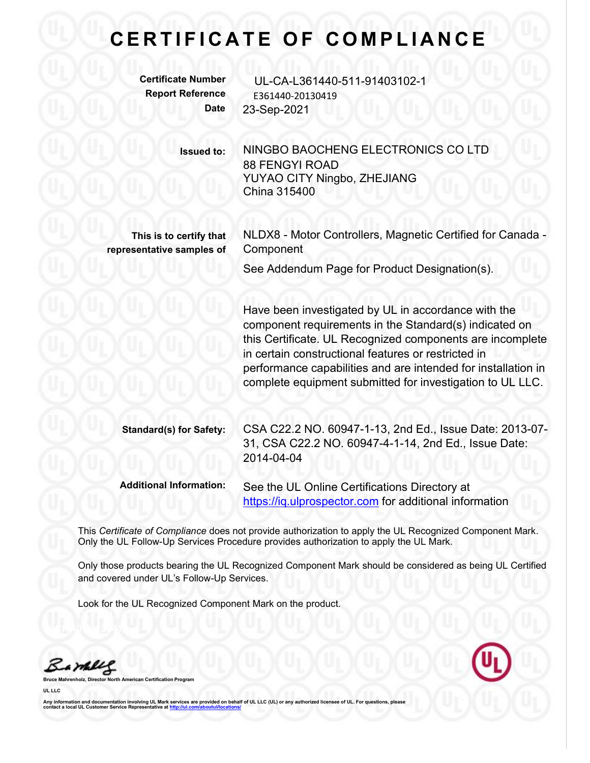## $E$  **CERTIFICATE OF COMPLIANCE**

**Certificate Number** UL-CA-L361440-511-91403102-1 **Report Reference** E361440-20130419 **Date** 23-Sep-2021

> **Issued to:** NINGBO BAOCHENG ELECTRONICS CO LTD 88 FENGYI ROAD YUYAO CITY Ningbo, ZHEJIANG China 315400

**This is to certify that representative samples of** NLDX8 - Motor Controllers, Magnetic Certified for Canada - **Component** 

See Addendum Page for Product Designation(s).

Have been investigated by UL in accordance with the component requirements in the Standard(s) indicated on this Certificate. UL Recognized components are incomplete in certain constructional features or restricted in performance capabilities and are intended for installation in complete equipment submitted for investigation to UL LLC.

**Standard(s) for Safety:** CSA C22.2 NO. 60947-1-13, 2nd Ed., Issue Date: 2013-07- 31, CSA C22.2 NO. 60947-4-1-14, 2nd Ed., Issue Date: 2014-04-04

**Additional Information:** See the UL Online Certifications Directory at <https://iq.ulprospector.com> for additional information

This *Certificate of Compliance* does not provide authorization to apply the UL Recognized Component Mark. Only the UL Follow-Up Services Procedure provides authorization to apply the UL Mark.

Only those products bearing the UL Recognized Component Mark should be considered as being UL Certified and covered under UL's Follow-Up Services.

Look for the UL Recognized Component Mark on the product.

Bambles

**Bruce Mahrenholz, Director North American Certification Program**

**UL LLC**